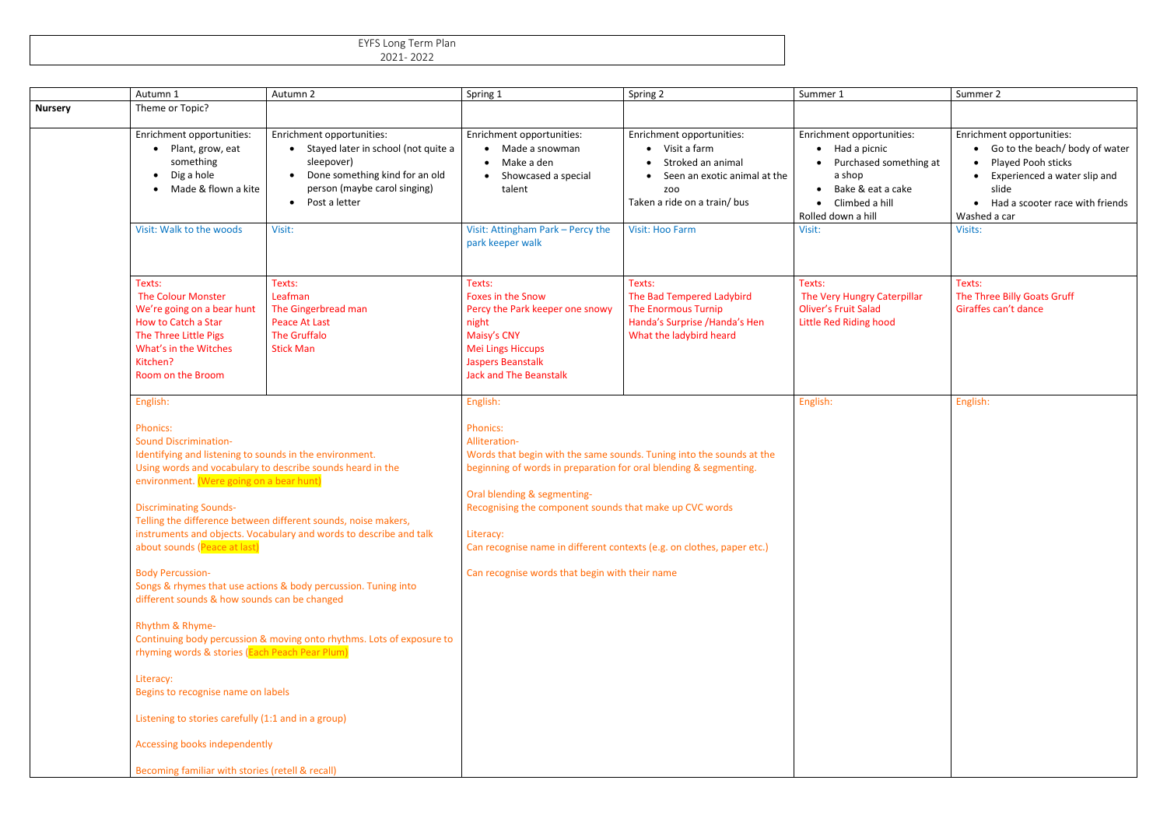| $\overline{\phantom{0}}$<br>EYFS Long<br>Term Plan |  |
|----------------------------------------------------|--|
| $\sim$ $\sim$<br>2021-2022                         |  |

|                | Autumn 1                                                                                                                                                                                                                | Autumn 2                                                                                                                                                                                                 | Spring 1                                                                                                                                                                                                                                                                        | Spring 2                                                                                                                                       | Summer 1                                                                                                                                                                      | Summer 2                                                                                                                                                                     |
|----------------|-------------------------------------------------------------------------------------------------------------------------------------------------------------------------------------------------------------------------|----------------------------------------------------------------------------------------------------------------------------------------------------------------------------------------------------------|---------------------------------------------------------------------------------------------------------------------------------------------------------------------------------------------------------------------------------------------------------------------------------|------------------------------------------------------------------------------------------------------------------------------------------------|-------------------------------------------------------------------------------------------------------------------------------------------------------------------------------|------------------------------------------------------------------------------------------------------------------------------------------------------------------------------|
| <b>Nursery</b> | Theme or Topic?                                                                                                                                                                                                         |                                                                                                                                                                                                          |                                                                                                                                                                                                                                                                                 |                                                                                                                                                |                                                                                                                                                                               |                                                                                                                                                                              |
|                | Enrichment opportunities:<br>Plant, grow, eat<br>something<br>Dig a hole<br>$\bullet$<br>Made & flown a kite<br>$\bullet$                                                                                               | Enrichment opportunities:<br>Stayed later in school (not quite a<br>$\bullet$<br>sleepover)<br>Done something kind for an old<br>$\bullet$<br>person (maybe carol singing)<br>Post a letter<br>$\bullet$ | Enrichment opportunities:<br>• Made a snowman<br>Make a den<br>Showcased a special<br>talent                                                                                                                                                                                    | Enrichment opportunities:<br>• Visit a farm<br>Stroked an animal<br>Seen an exotic animal at the<br><b>ZOO</b><br>Taken a ride on a train/ bus | Enrichment opportunities:<br>$\bullet$ Had a picnic<br>• Purchased something at<br>a shop<br>Bake & eat a cake<br>$\bullet$<br>$\bullet$ Climbed a hill<br>Rolled down a hill | Enrichment opportunities:<br>Go to the beach/body of water<br>Played Pooh sticks<br>Experienced a water slip and<br>slide<br>Had a scooter race with friends<br>Washed a car |
|                | Visit: Walk to the woods                                                                                                                                                                                                | Visit:                                                                                                                                                                                                   | Visit: Attingham Park - Percy the<br>park keeper walk                                                                                                                                                                                                                           | <b>Visit: Hoo Farm</b>                                                                                                                         | Visit:                                                                                                                                                                        | Visits:                                                                                                                                                                      |
|                | Texts:<br><b>The Colour Monster</b><br>We're going on a bear hunt<br>How to Catch a Star<br>The Three Little Pigs<br>What's in the Witches<br>Kitchen?<br>Room on the Broom                                             | Texts:<br>Leafman<br>The Gingerbread man<br><b>Peace At Last</b><br><b>The Gruffalo</b><br><b>Stick Man</b>                                                                                              | Texts:<br><b>Foxes in the Snow</b><br>Percy the Park keeper one snowy<br>night<br>Maisy's CNY<br><b>Mei Lings Hiccups</b><br><b>Jaspers Beanstalk</b><br><b>Jack and The Beanstalk</b>                                                                                          | Texts:<br>The Bad Tempered Ladybird<br>The Enormous Turnip<br>Handa's Surprise / Handa's Hen<br>What the ladybird heard                        | Texts:<br>The Very Hungry Caterpillar<br><b>Oliver's Fruit Salad</b><br><b>Little Red Riding hood</b>                                                                         | Texts:<br>The Three Billy Goats Gruff<br>Giraffes can't dance                                                                                                                |
|                | English:                                                                                                                                                                                                                |                                                                                                                                                                                                          | English:                                                                                                                                                                                                                                                                        |                                                                                                                                                | English:                                                                                                                                                                      | English:                                                                                                                                                                     |
|                | <b>Phonics:</b><br><b>Sound Discrimination-</b><br>Identifying and listening to sounds in the environment.<br>environment. (Were going on a bear hunt)<br><b>Discriminating Sounds-</b><br>about sounds (Peace at last) | Using words and vocabulary to describe sounds heard in the<br>Telling the difference between different sounds, noise makers,<br>instruments and objects. Vocabulary and words to describe and talk       | Phonics:<br>Alliteration-<br>beginning of words in preparation for oral blending & segmenting.<br>Oral blending & segmenting-<br>Recognising the component sounds that make up CVC words<br>Literacy:<br>Can recognise name in different contexts (e.g. on clothes, paper etc.) | Words that begin with the same sounds. Tuning into the sounds at the                                                                           |                                                                                                                                                                               |                                                                                                                                                                              |
|                | <b>Body Percussion-</b><br>different sounds & how sounds can be changed                                                                                                                                                 | Songs & rhymes that use actions & body percussion. Tuning into                                                                                                                                           | Can recognise words that begin with their name                                                                                                                                                                                                                                  |                                                                                                                                                |                                                                                                                                                                               |                                                                                                                                                                              |
|                | Rhythm & Rhyme-<br>rhyming words & stories (Each Peach Pear Plum)                                                                                                                                                       | Continuing body percussion & moving onto rhythms. Lots of exposure to                                                                                                                                    |                                                                                                                                                                                                                                                                                 |                                                                                                                                                |                                                                                                                                                                               |                                                                                                                                                                              |
|                | Literacy:<br>Begins to recognise name on labels                                                                                                                                                                         |                                                                                                                                                                                                          |                                                                                                                                                                                                                                                                                 |                                                                                                                                                |                                                                                                                                                                               |                                                                                                                                                                              |
|                | Listening to stories carefully (1:1 and in a group)                                                                                                                                                                     |                                                                                                                                                                                                          |                                                                                                                                                                                                                                                                                 |                                                                                                                                                |                                                                                                                                                                               |                                                                                                                                                                              |
|                | Accessing books independently                                                                                                                                                                                           |                                                                                                                                                                                                          |                                                                                                                                                                                                                                                                                 |                                                                                                                                                |                                                                                                                                                                               |                                                                                                                                                                              |
|                | Becoming familiar with stories (retell & recall)                                                                                                                                                                        |                                                                                                                                                                                                          |                                                                                                                                                                                                                                                                                 |                                                                                                                                                |                                                                                                                                                                               |                                                                                                                                                                              |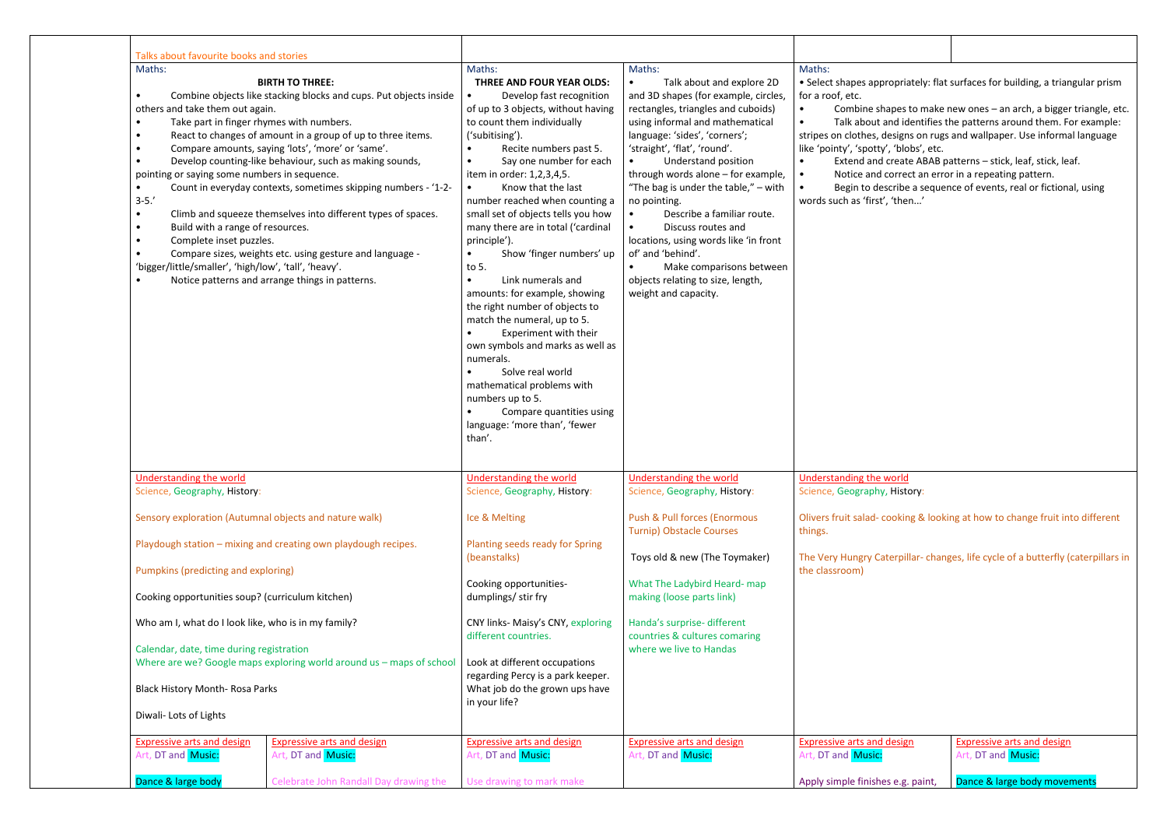| Maths:                                                                                                                                                                                                                                                                        |                                                                                                                                                                                                                                                                                                                                                                                                                                                                                                                             | Maths:                                                                                                                                                                                                                                                                                                                                                                                                                                                                                                                                                                                                                                                                                                                                                                                          | Maths:                                                                                                                                                                                                                                                                                                                                                                                                                                                                                                                                                     | Maths:                                                                                                                                                                                                                                                                                                                                                 |                                                                                                                                                                                                                                                                           |
|-------------------------------------------------------------------------------------------------------------------------------------------------------------------------------------------------------------------------------------------------------------------------------|-----------------------------------------------------------------------------------------------------------------------------------------------------------------------------------------------------------------------------------------------------------------------------------------------------------------------------------------------------------------------------------------------------------------------------------------------------------------------------------------------------------------------------|-------------------------------------------------------------------------------------------------------------------------------------------------------------------------------------------------------------------------------------------------------------------------------------------------------------------------------------------------------------------------------------------------------------------------------------------------------------------------------------------------------------------------------------------------------------------------------------------------------------------------------------------------------------------------------------------------------------------------------------------------------------------------------------------------|------------------------------------------------------------------------------------------------------------------------------------------------------------------------------------------------------------------------------------------------------------------------------------------------------------------------------------------------------------------------------------------------------------------------------------------------------------------------------------------------------------------------------------------------------------|--------------------------------------------------------------------------------------------------------------------------------------------------------------------------------------------------------------------------------------------------------------------------------------------------------------------------------------------------------|---------------------------------------------------------------------------------------------------------------------------------------------------------------------------------------------------------------------------------------------------------------------------|
| others and take them out again.<br>Take part in finger rhymes with numbers.<br>pointing or saying some numbers in sequence.<br>$3 - 5.'$<br>$\bullet$<br>Build with a range of resources.<br>Complete inset puzzles.<br>'bigger/little/smaller', 'high/low', 'tall', 'heavy'. | <b>BIRTH TO THREE:</b><br>Combine objects like stacking blocks and cups. Put objects inside<br>React to changes of amount in a group of up to three items.<br>Compare amounts, saying 'lots', 'more' or 'same'.<br>Develop counting-like behaviour, such as making sounds,<br>Count in everyday contexts, sometimes skipping numbers - '1-2-<br>Climb and squeeze themselves into different types of spaces.<br>Compare sizes, weights etc. using gesture and language -<br>Notice patterns and arrange things in patterns. | THREE AND FOUR YEAR OLDS:<br>Develop fast recognition<br>of up to 3 objects, without having<br>to count them individually<br>('subitising').<br>Recite numbers past 5.<br>Say one number for each<br>$\bullet$<br>item in order: 1,2,3,4,5.<br>Know that the last<br>number reached when counting a<br>small set of objects tells you how<br>many there are in total ('cardinal<br>principle').<br>Show 'finger numbers' up<br>to 5.<br>Link numerals and<br>$\bullet$<br>amounts: for example, showing<br>the right number of objects to<br>match the numeral, up to 5.<br>Experiment with their<br>own symbols and marks as well as<br>numerals.<br>Solve real world<br>mathematical problems with<br>numbers up to 5.<br>Compare quantities using<br>language: 'more than', 'fewer<br>than'. | Talk about and explore 2D<br>and 3D shapes (for example, circles,<br>rectangles, triangles and cuboids)<br>using informal and mathematical<br>language: 'sides', 'corners';<br>'straight', 'flat', 'round'.<br>Understand position<br>$\bullet$<br>through words alone - for example,<br>"The bag is under the table," $-$ with<br>no pointing.<br>Describe a familiar route.<br>Discuss routes and<br>locations, using words like 'in front<br>of' and 'behind'.<br>Make comparisons between<br>objects relating to size, length,<br>weight and capacity. | • Select shapes appropriately: flat surfaces for building, a triangular prism<br>for a roof, etc.<br>$\bullet$<br>stripes on clothes, designs on rugs and wallpaper. Use informal language<br>like 'pointy', 'spotty', 'blobs', etc.<br>$\bullet$<br>Notice and correct an error in a repeating pattern.<br>$\bullet$<br>words such as 'first', 'then' | Combine shapes to make new ones - an arch, a bigger triangle, etc.<br>Talk about and identifies the patterns around them. For example:<br>Extend and create ABAB patterns - stick, leaf, stick, leaf.<br>Begin to describe a sequence of events, real or fictional, using |
| <b>Understanding the world</b>                                                                                                                                                                                                                                                |                                                                                                                                                                                                                                                                                                                                                                                                                                                                                                                             | Understanding the world                                                                                                                                                                                                                                                                                                                                                                                                                                                                                                                                                                                                                                                                                                                                                                         | Understanding the world                                                                                                                                                                                                                                                                                                                                                                                                                                                                                                                                    | Understanding the world                                                                                                                                                                                                                                                                                                                                |                                                                                                                                                                                                                                                                           |
| Science, Geography, History:                                                                                                                                                                                                                                                  |                                                                                                                                                                                                                                                                                                                                                                                                                                                                                                                             | Science, Geography, History:                                                                                                                                                                                                                                                                                                                                                                                                                                                                                                                                                                                                                                                                                                                                                                    | Science, Geography, History:                                                                                                                                                                                                                                                                                                                                                                                                                                                                                                                               | Science, Geography, History:                                                                                                                                                                                                                                                                                                                           |                                                                                                                                                                                                                                                                           |
| Sensory exploration (Autumnal objects and nature walk)                                                                                                                                                                                                                        |                                                                                                                                                                                                                                                                                                                                                                                                                                                                                                                             | Ice & Melting                                                                                                                                                                                                                                                                                                                                                                                                                                                                                                                                                                                                                                                                                                                                                                                   | Push & Pull forces (Enormous<br><b>Turnip) Obstacle Courses</b>                                                                                                                                                                                                                                                                                                                                                                                                                                                                                            | things.                                                                                                                                                                                                                                                                                                                                                | Olivers fruit salad-cooking & looking at how to change fruit into different                                                                                                                                                                                               |
|                                                                                                                                                                                                                                                                               | Playdough station - mixing and creating own playdough recipes.                                                                                                                                                                                                                                                                                                                                                                                                                                                              | Planting seeds ready for Spring<br>(beanstalks)                                                                                                                                                                                                                                                                                                                                                                                                                                                                                                                                                                                                                                                                                                                                                 | Toys old & new (The Toymaker)                                                                                                                                                                                                                                                                                                                                                                                                                                                                                                                              |                                                                                                                                                                                                                                                                                                                                                        | The Very Hungry Caterpillar-changes, life cycle of a butterfly (caterpillars in                                                                                                                                                                                           |
| Pumpkins (predicting and exploring)                                                                                                                                                                                                                                           |                                                                                                                                                                                                                                                                                                                                                                                                                                                                                                                             |                                                                                                                                                                                                                                                                                                                                                                                                                                                                                                                                                                                                                                                                                                                                                                                                 |                                                                                                                                                                                                                                                                                                                                                                                                                                                                                                                                                            | the classroom)                                                                                                                                                                                                                                                                                                                                         |                                                                                                                                                                                                                                                                           |
| Cooking opportunities soup? (curriculum kitchen)                                                                                                                                                                                                                              |                                                                                                                                                                                                                                                                                                                                                                                                                                                                                                                             | Cooking opportunities-<br>dumplings/ stir fry                                                                                                                                                                                                                                                                                                                                                                                                                                                                                                                                                                                                                                                                                                                                                   | What The Ladybird Heard- map<br>making (loose parts link)                                                                                                                                                                                                                                                                                                                                                                                                                                                                                                  |                                                                                                                                                                                                                                                                                                                                                        |                                                                                                                                                                                                                                                                           |
| Who am I, what do I look like, who is in my family?                                                                                                                                                                                                                           |                                                                                                                                                                                                                                                                                                                                                                                                                                                                                                                             | CNY links- Maisy's CNY, exploring<br>different countries.                                                                                                                                                                                                                                                                                                                                                                                                                                                                                                                                                                                                                                                                                                                                       | Handa's surprise- different<br>countries & cultures comaring                                                                                                                                                                                                                                                                                                                                                                                                                                                                                               |                                                                                                                                                                                                                                                                                                                                                        |                                                                                                                                                                                                                                                                           |
| Calendar, date, time during registration                                                                                                                                                                                                                                      |                                                                                                                                                                                                                                                                                                                                                                                                                                                                                                                             |                                                                                                                                                                                                                                                                                                                                                                                                                                                                                                                                                                                                                                                                                                                                                                                                 | where we live to Handas                                                                                                                                                                                                                                                                                                                                                                                                                                                                                                                                    |                                                                                                                                                                                                                                                                                                                                                        |                                                                                                                                                                                                                                                                           |
|                                                                                                                                                                                                                                                                               | Where are we? Google maps exploring world around us - maps of school                                                                                                                                                                                                                                                                                                                                                                                                                                                        | Look at different occupations<br>regarding Percy is a park keeper.                                                                                                                                                                                                                                                                                                                                                                                                                                                                                                                                                                                                                                                                                                                              |                                                                                                                                                                                                                                                                                                                                                                                                                                                                                                                                                            |                                                                                                                                                                                                                                                                                                                                                        |                                                                                                                                                                                                                                                                           |
| <b>Black History Month- Rosa Parks</b>                                                                                                                                                                                                                                        |                                                                                                                                                                                                                                                                                                                                                                                                                                                                                                                             | What job do the grown ups have<br>in your life?                                                                                                                                                                                                                                                                                                                                                                                                                                                                                                                                                                                                                                                                                                                                                 |                                                                                                                                                                                                                                                                                                                                                                                                                                                                                                                                                            |                                                                                                                                                                                                                                                                                                                                                        |                                                                                                                                                                                                                                                                           |
| Diwali- Lots of Lights                                                                                                                                                                                                                                                        |                                                                                                                                                                                                                                                                                                                                                                                                                                                                                                                             |                                                                                                                                                                                                                                                                                                                                                                                                                                                                                                                                                                                                                                                                                                                                                                                                 |                                                                                                                                                                                                                                                                                                                                                                                                                                                                                                                                                            |                                                                                                                                                                                                                                                                                                                                                        |                                                                                                                                                                                                                                                                           |
|                                                                                                                                                                                                                                                                               |                                                                                                                                                                                                                                                                                                                                                                                                                                                                                                                             |                                                                                                                                                                                                                                                                                                                                                                                                                                                                                                                                                                                                                                                                                                                                                                                                 |                                                                                                                                                                                                                                                                                                                                                                                                                                                                                                                                                            |                                                                                                                                                                                                                                                                                                                                                        |                                                                                                                                                                                                                                                                           |
| <b>Expressive arts and design</b>                                                                                                                                                                                                                                             | <b>Expressive arts and design</b>                                                                                                                                                                                                                                                                                                                                                                                                                                                                                           | <b>Expressive arts and design</b>                                                                                                                                                                                                                                                                                                                                                                                                                                                                                                                                                                                                                                                                                                                                                               | <b>Expressive arts and design</b>                                                                                                                                                                                                                                                                                                                                                                                                                                                                                                                          | <b>Expressive arts and design</b>                                                                                                                                                                                                                                                                                                                      | <b>Expressive arts and design</b>                                                                                                                                                                                                                                         |
| Art, DT and Music:                                                                                                                                                                                                                                                            | Art, DT and Music:                                                                                                                                                                                                                                                                                                                                                                                                                                                                                                          | Art, DT and Music:                                                                                                                                                                                                                                                                                                                                                                                                                                                                                                                                                                                                                                                                                                                                                                              | Art, DT and Music:                                                                                                                                                                                                                                                                                                                                                                                                                                                                                                                                         | Art, DT and Music:                                                                                                                                                                                                                                                                                                                                     | Art, DT and Music:                                                                                                                                                                                                                                                        |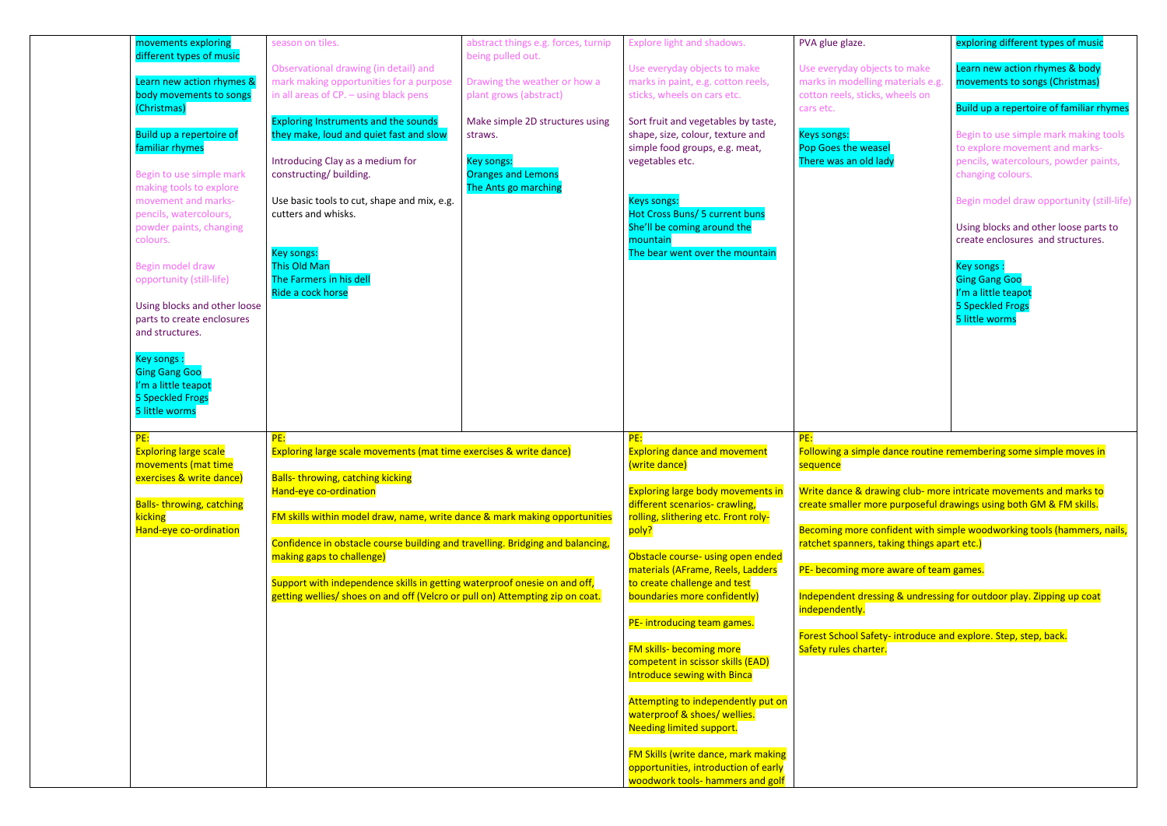|                                              | exploring different types of music                                                                                                    |
|----------------------------------------------|---------------------------------------------------------------------------------------------------------------------------------------|
| cts to make<br>materials e.g.<br>, wheels on | Learn new action rhymes & body<br>movements to songs (Christmas)                                                                      |
|                                              | Build up a repertoire of familiar rhymes                                                                                              |
| $\overline{e}$<br>ady                        | Begin to use simple mark making tools<br>to explore movement and marks-<br>pencils, watercolours, powder paints,<br>changing colours. |
|                                              | Begin model draw opportunity (still-life)                                                                                             |
|                                              | Using blocks and other loose parts to<br>create enclosures and structures.                                                            |
|                                              | <b>Key songs:</b><br><b>Ging Gang Goo</b><br>I'm a little teapot<br><b>5 Speckled Frogs</b><br>5 little worms                         |
|                                              |                                                                                                                                       |
|                                              |                                                                                                                                       |

dance routine remembering some simple moves in

ving club- more intricate movements and marks to  $\overline{e}$  purposeful drawings using both GM & FM skills.

nfident with simple woodworking tools (hammers, nails, aking things apart etc.)

aware of team games.

ng & undressing for outdoor play. Zipping up coat

y- introduce and explore. Step, step, back.

| movements exploring<br>different types of music<br>Learn new action rhymes &<br>body movements to songs<br>(Christmas)<br>Build up a repertoire of<br>familiar rhymes<br>Begin to use simple mark<br>making tools to explore<br>movement and marks-<br>pencils, watercolours,<br>powder paints, changing<br>colours.<br>Begin model draw<br>opportunity (still-life)<br>Using blocks and other loose<br>parts to create enclosures<br>and structures.<br><b>Key songs:</b><br><b>Ging Gang Goo</b><br>I'm a little teapot<br><b>5 Speckled Frogs</b><br>5 little worms | season on tiles.<br>Observational drawing (in detail) and<br>mark making opportunities for a purpose<br>in all areas of $CP$ . $-$ using black pens<br><b>Exploring Instruments and the sounds</b><br>they make, loud and quiet fast and slow<br>Introducing Clay as a medium for<br>constructing/building.<br>Use basic tools to cut, shape and mix, e.g.<br>cutters and whisks.<br><b>Key songs:</b><br>This Old Man<br>The Farmers in his dell<br>Ride a cock horse                                    | abstract things e.g. forces, turnip<br>being pulled out.<br>Drawing the weather or how a<br>plant grows (abstract)<br>Make simple 2D structures using<br>straws.<br><b>Key songs:</b><br><b>Oranges and Lemons</b><br>The Ants go marching | Explore light and shadows.<br>Use everyday objects to make<br>marks in paint, e.g. cotton reels,<br>sticks, wheels on cars etc.<br>Sort fruit and vegetables by taste,<br>shape, size, colour, texture and<br>simple food groups, e.g. meat,<br>vegetables etc.<br><b>Keys songs:</b><br>Hot Cross Buns/ 5 current buns<br>She'll be coming around the<br>mountain<br>The bear went over the mountain                                                                                                                                                                                                                                                                                                  | PVA glue glaze.<br>Use everyday objects to make<br>marks in modelling materials e.g.<br>cotton reels, sticks, wheels on<br>cars etc.<br><b>Keys songs:</b><br><b>Pop Goes the weasel</b><br>There was an old lady                                                                                                                                          |
|------------------------------------------------------------------------------------------------------------------------------------------------------------------------------------------------------------------------------------------------------------------------------------------------------------------------------------------------------------------------------------------------------------------------------------------------------------------------------------------------------------------------------------------------------------------------|-----------------------------------------------------------------------------------------------------------------------------------------------------------------------------------------------------------------------------------------------------------------------------------------------------------------------------------------------------------------------------------------------------------------------------------------------------------------------------------------------------------|--------------------------------------------------------------------------------------------------------------------------------------------------------------------------------------------------------------------------------------------|--------------------------------------------------------------------------------------------------------------------------------------------------------------------------------------------------------------------------------------------------------------------------------------------------------------------------------------------------------------------------------------------------------------------------------------------------------------------------------------------------------------------------------------------------------------------------------------------------------------------------------------------------------------------------------------------------------|------------------------------------------------------------------------------------------------------------------------------------------------------------------------------------------------------------------------------------------------------------------------------------------------------------------------------------------------------------|
| PE:<br><b>Exploring large scale</b><br>movements (mat time<br>exercises & write dance)<br><b>Balls-throwing, catching</b><br>kicking<br>Hand-eye co-ordination                                                                                                                                                                                                                                                                                                                                                                                                         | PE:<br>Exploring large scale movements (mat time exercises & write dance)<br><b>Balls-throwing, catching kicking</b><br>Hand-eye co-ordination<br>FM skills within model draw, name, write dance & mark making opportunities<br>Confidence in obstacle course building and travelling. Bridging and balancing,<br>making gaps to challenge)<br>Support with independence skills in getting waterproof onesie on and off,<br>getting wellies/ shoes on and off (Velcro or pull on) Attempting zip on coat. |                                                                                                                                                                                                                                            | PE:<br><b>Exploring dance and movement</b><br>(write dance)<br><b>Exploring large body movements in</b><br>different scenarios- crawling,<br>rolling, slithering etc. Front roly-<br>poly?<br>Obstacle course- using open ended<br>materials (AFrame, Reels, Ladders<br>to create challenge and test<br>boundaries more confidently)<br>PE- introducing team games.<br><b>FM skills- becoming more</b><br>competent in scissor skills (EAD)<br>Introduce sewing with Binca<br>Attempting to independently put on<br>waterproof & shoes/ wellies.<br><b>Needing limited support.</b><br>FM Skills (write dance, mark making<br>opportunities, introduction of early<br>woodwork tools- hammers and golf | PE:<br>Following a simple dance routine<br>sequence<br>Write dance & drawing club- mor<br>create smaller more purposeful d<br>Becoming more confident with sir<br>ratchet spanners, taking things ap<br>PE- becoming more aware of tear<br>Independent dressing & undressi<br>independently.<br>Forest School Safety- introduce a<br>Safety rules charter. |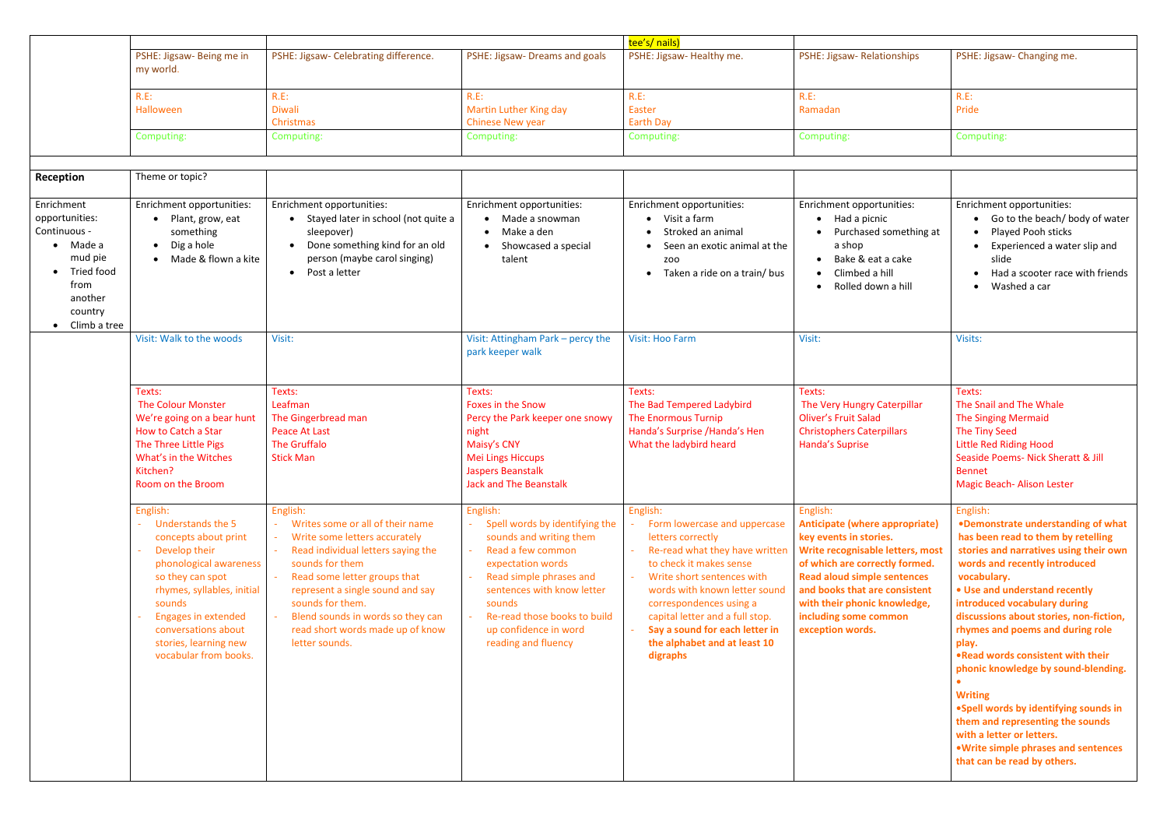|                                                                                                                                         |                                                                                                                                                                                                                                                                            |                                                                                                                                                                                                                                                                                                                           |                                                                                                                                                                                                                                                                    | tee's/ nails)                                                                                                                                                                                                                                                                                                                         |                                                                                                                                                                                                                                                                                                       |                                                                                                                                                                                                                                                                                                                                                                                                                                                                                                                                                                                                                        |
|-----------------------------------------------------------------------------------------------------------------------------------------|----------------------------------------------------------------------------------------------------------------------------------------------------------------------------------------------------------------------------------------------------------------------------|---------------------------------------------------------------------------------------------------------------------------------------------------------------------------------------------------------------------------------------------------------------------------------------------------------------------------|--------------------------------------------------------------------------------------------------------------------------------------------------------------------------------------------------------------------------------------------------------------------|---------------------------------------------------------------------------------------------------------------------------------------------------------------------------------------------------------------------------------------------------------------------------------------------------------------------------------------|-------------------------------------------------------------------------------------------------------------------------------------------------------------------------------------------------------------------------------------------------------------------------------------------------------|------------------------------------------------------------------------------------------------------------------------------------------------------------------------------------------------------------------------------------------------------------------------------------------------------------------------------------------------------------------------------------------------------------------------------------------------------------------------------------------------------------------------------------------------------------------------------------------------------------------------|
|                                                                                                                                         | PSHE: Jigsaw- Being me in<br>my world.                                                                                                                                                                                                                                     | PSHE: Jigsaw- Celebrating difference.                                                                                                                                                                                                                                                                                     | PSHE: Jigsaw- Dreams and goals                                                                                                                                                                                                                                     | PSHE: Jigsaw- Healthy me.                                                                                                                                                                                                                                                                                                             | PSHE: Jigsaw- Relationships                                                                                                                                                                                                                                                                           | PSHE: Jigsaw- Changing me.                                                                                                                                                                                                                                                                                                                                                                                                                                                                                                                                                                                             |
|                                                                                                                                         | R.E.                                                                                                                                                                                                                                                                       | $R.E$ :                                                                                                                                                                                                                                                                                                                   | $R.E$ :                                                                                                                                                                                                                                                            | $R.E$ :                                                                                                                                                                                                                                                                                                                               | $R.E$ :                                                                                                                                                                                                                                                                                               | $R.E$ :                                                                                                                                                                                                                                                                                                                                                                                                                                                                                                                                                                                                                |
|                                                                                                                                         | Halloween                                                                                                                                                                                                                                                                  | Diwali<br>Christmas                                                                                                                                                                                                                                                                                                       | <b>Martin Luther King day</b><br><b>Chinese New year</b>                                                                                                                                                                                                           | Easter<br><b>Earth Day</b>                                                                                                                                                                                                                                                                                                            | Ramadan                                                                                                                                                                                                                                                                                               | Pride                                                                                                                                                                                                                                                                                                                                                                                                                                                                                                                                                                                                                  |
|                                                                                                                                         | Computing:                                                                                                                                                                                                                                                                 | Computing:                                                                                                                                                                                                                                                                                                                | Computing:                                                                                                                                                                                                                                                         | Computing:                                                                                                                                                                                                                                                                                                                            | Computing:                                                                                                                                                                                                                                                                                            | Computing:                                                                                                                                                                                                                                                                                                                                                                                                                                                                                                                                                                                                             |
|                                                                                                                                         |                                                                                                                                                                                                                                                                            |                                                                                                                                                                                                                                                                                                                           |                                                                                                                                                                                                                                                                    |                                                                                                                                                                                                                                                                                                                                       |                                                                                                                                                                                                                                                                                                       |                                                                                                                                                                                                                                                                                                                                                                                                                                                                                                                                                                                                                        |
| Reception                                                                                                                               | Theme or topic?                                                                                                                                                                                                                                                            |                                                                                                                                                                                                                                                                                                                           |                                                                                                                                                                                                                                                                    |                                                                                                                                                                                                                                                                                                                                       |                                                                                                                                                                                                                                                                                                       |                                                                                                                                                                                                                                                                                                                                                                                                                                                                                                                                                                                                                        |
| Enrichment<br>opportunities:<br>Continuous -<br>Made a<br>mud pie<br>Tried food<br>from<br>another<br>country<br>$\bullet$ Climb a tree | Enrichment opportunities:<br>Plant, grow, eat<br>something<br>Dig a hole<br>Made & flown a kite                                                                                                                                                                            | Enrichment opportunities:<br>• Stayed later in school (not quite a<br>sleepover)<br>Done something kind for an old<br>person (maybe carol singing)<br>• Post a letter                                                                                                                                                     | Enrichment opportunities:<br>• Made a snowman<br>$\bullet$ Make a den<br>Showcased a special<br>talent                                                                                                                                                             | Enrichment opportunities:<br>$\bullet$ Visit a farm<br>Stroked an animal<br>Seen an exotic animal at the<br><b>ZOO</b><br>Taken a ride on a train/ bus                                                                                                                                                                                | Enrichment opportunities:<br>Had a picnic<br>Purchased something at<br>a shop<br>Bake & eat a cake<br>Climbed a hill<br>$\bullet$<br>Rolled down a hill                                                                                                                                               | Enrichment opportunities:<br>• Go to the beach/body of water<br>Played Pooh sticks<br>Experienced a water slip and<br>slide<br>Had a scooter race with friends<br>Washed a car                                                                                                                                                                                                                                                                                                                                                                                                                                         |
|                                                                                                                                         | Visit: Walk to the woods                                                                                                                                                                                                                                                   | Visit:                                                                                                                                                                                                                                                                                                                    | Visit: Attingham Park - percy the<br>park keeper walk                                                                                                                                                                                                              | Visit: Hoo Farm                                                                                                                                                                                                                                                                                                                       | Visit:                                                                                                                                                                                                                                                                                                | Visits:                                                                                                                                                                                                                                                                                                                                                                                                                                                                                                                                                                                                                |
|                                                                                                                                         | Texts:<br><b>The Colour Monster</b><br>We're going on a bear hunt<br>How to Catch a Star<br>The Three Little Pigs<br>What's in the Witches<br>Kitchen?<br>Room on the Broom                                                                                                | Texts:<br>Leafman<br>The Gingerbread man<br><b>Peace At Last</b><br><b>The Gruffalo</b><br><b>Stick Man</b>                                                                                                                                                                                                               | Texts:<br><b>Foxes in the Snow</b><br>Percy the Park keeper one snowy<br>night<br>Maisy's CNY<br><b>Mei Lings Hiccups</b><br><b>Jaspers Beanstalk</b><br><b>Jack and The Beanstalk</b>                                                                             | Texts:<br>The Bad Tempered Ladybird<br><b>The Enormous Turnip</b><br>Handa's Surprise / Handa's Hen<br>What the ladybird heard                                                                                                                                                                                                        | Texts:<br>The Very Hungry Caterpillar<br><b>Oliver's Fruit Salad</b><br><b>Christophers Caterpillars</b><br><b>Handa's Suprise</b>                                                                                                                                                                    | Texts:<br>The Snail and The Whale<br><b>The Singing Mermaid</b><br><b>The Tiny Seed</b><br><b>Little Red Riding Hood</b><br>Seaside Poems- Nick Sheratt & Jill<br><b>Bennet</b><br><b>Magic Beach-Alison Lester</b>                                                                                                                                                                                                                                                                                                                                                                                                    |
|                                                                                                                                         | English:<br><b>Understands the 5</b><br>concepts about print<br>Develop their<br>phonological awareness<br>so they can spot<br>rhymes, syllables, initial<br>sounds<br><b>Engages in extended</b><br>conversations about<br>stories, learning new<br>vocabular from books. | English:<br>Writes some or all of their name<br>Write some letters accurately<br>Read individual letters saying the<br>sounds for them<br>Read some letter groups that<br>represent a single sound and say<br>sounds for them.<br>Blend sounds in words so they can<br>read short words made up of know<br>letter sounds. | English:<br>Spell words by identifying the<br>sounds and writing them<br>Read a few common<br>expectation words<br>Read simple phrases and<br>sentences with know letter<br>sounds<br>Re-read those books to build<br>up confidence in word<br>reading and fluency | English:<br>Form lowercase and uppercase<br>letters correctly<br>Re-read what they have written<br>to check it makes sense<br>Write short sentences with<br>words with known letter sound<br>correspondences using a<br>capital letter and a full stop.<br>Say a sound for each letter in<br>the alphabet and at least 10<br>digraphs | English:<br><b>Anticipate (where appropriate)</b><br>key events in stories.<br>Write recognisable letters, most<br>of which are correctly formed.<br><b>Read aloud simple sentences</b><br>and books that are consistent<br>with their phonic knowledge,<br>including some common<br>exception words. | English:<br>.Demonstrate understanding of what<br>has been read to them by retelling<br>stories and narratives using their own<br>words and recently introduced<br>vocabulary.<br>• Use and understand recently<br>introduced vocabulary during<br>discussions about stories, non-fiction,<br>rhymes and poems and during role<br>play.<br>.Read words consistent with their<br>phonic knowledge by sound-blending.<br><b>Writing</b><br>.Spell words by identifying sounds in<br>them and representing the sounds<br>with a letter or letters.<br>. Write simple phrases and sentences<br>that can be read by others. |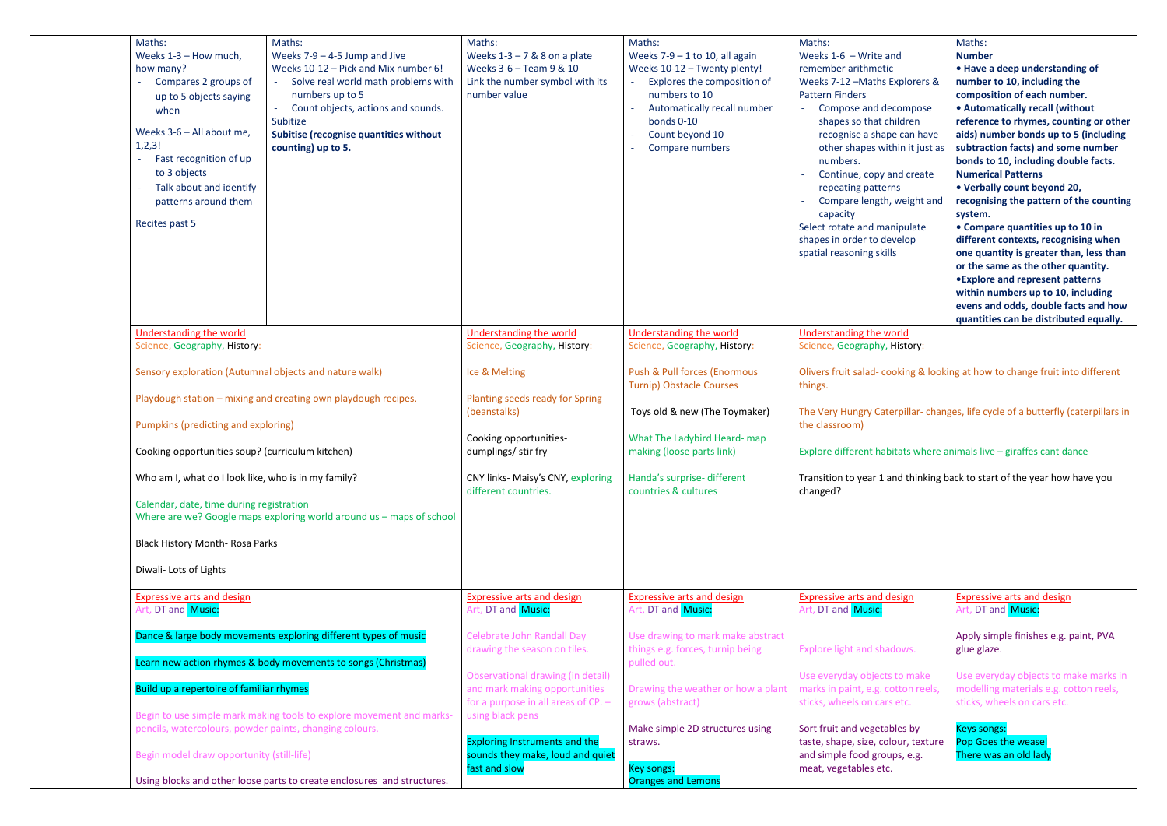| Maths:<br>Weeks 1-3 - How much,<br>how many?<br>Compares 2 groups of<br>up to 5 objects saying<br>when<br>Weeks 3-6 - All about me,<br>1,2,3!<br>Fast recognition of up<br>to 3 objects<br>Talk about and identify<br>patterns around them<br>Recites past 5 | Maths:<br>Weeks $7-9 - 4-5$ Jump and Jive<br>Weeks 10-12 - Pick and Mix number 6!<br>Solve real world math problems with<br>numbers up to 5<br>- Count objects, actions and sounds.<br>Subitize<br>Subitise (recognise quantities without<br>counting) up to 5. | Maths:<br>Weeks $1-3-7$ & 8 on a plate<br>Weeks 3-6 - Team 9 & 10<br>Link the number symbol with its<br>number value | Maths:<br>Weeks $7-9 - 1$ to 10, all again<br>Weeks 10-12 - Twenty plenty!<br>Explores the composition of<br>numbers to 10<br>Automatically recall number<br>bonds 0-10<br>Count beyond 10<br>$\sim$<br>Compare numbers | Maths:<br>Weeks $1-6$ – Write and<br>remember arithmetic<br>Weeks 7-12 - Maths Explorers &<br><b>Pattern Finders</b><br>- Compose and decompose<br>shapes so that children<br>recognise a shape can have<br>other shapes within it just as<br>numbers.<br>Continue, copy and create<br>repeating patterns<br>Compare length, weight and<br>capacity<br>Select rotate and manipulate<br>shapes in order to develop<br>spatial reasoning skills | Maths:<br><b>Number</b><br>• Have a deep understanding of<br>number to 10, including the<br>composition of each number.<br>• Automatically recall (without<br>reference to rhymes, counting or other<br>aids) number bonds up to 5 (including<br>subtraction facts) and some number<br>bonds to 10, including double facts.<br><b>Numerical Patterns</b><br>• Verbally count beyond 20,<br>recognising the pattern of the counting<br>system.<br>• Compare quantities up to 10 in<br>different contexts, recognising when<br>one quantity is greater than, less than<br>or the same as the other quantity.<br>• Explore and represent patterns<br>within numbers up to 10, including<br>evens and odds, double facts and how<br>quantities can be distributed equally. |
|--------------------------------------------------------------------------------------------------------------------------------------------------------------------------------------------------------------------------------------------------------------|-----------------------------------------------------------------------------------------------------------------------------------------------------------------------------------------------------------------------------------------------------------------|----------------------------------------------------------------------------------------------------------------------|-------------------------------------------------------------------------------------------------------------------------------------------------------------------------------------------------------------------------|-----------------------------------------------------------------------------------------------------------------------------------------------------------------------------------------------------------------------------------------------------------------------------------------------------------------------------------------------------------------------------------------------------------------------------------------------|------------------------------------------------------------------------------------------------------------------------------------------------------------------------------------------------------------------------------------------------------------------------------------------------------------------------------------------------------------------------------------------------------------------------------------------------------------------------------------------------------------------------------------------------------------------------------------------------------------------------------------------------------------------------------------------------------------------------------------------------------------------------|
| Understanding the world                                                                                                                                                                                                                                      |                                                                                                                                                                                                                                                                 | Understanding the world                                                                                              | Understanding the world                                                                                                                                                                                                 | Understanding the world                                                                                                                                                                                                                                                                                                                                                                                                                       |                                                                                                                                                                                                                                                                                                                                                                                                                                                                                                                                                                                                                                                                                                                                                                        |
| Science, Geography, History:                                                                                                                                                                                                                                 |                                                                                                                                                                                                                                                                 | Science, Geography, History:                                                                                         | Science, Geography, History:                                                                                                                                                                                            | Science, Geography, History:                                                                                                                                                                                                                                                                                                                                                                                                                  |                                                                                                                                                                                                                                                                                                                                                                                                                                                                                                                                                                                                                                                                                                                                                                        |
| Sensory exploration (Autumnal objects and nature walk)                                                                                                                                                                                                       |                                                                                                                                                                                                                                                                 | Ice & Melting                                                                                                        | Push & Pull forces (Enormous<br><b>Turnip) Obstacle Courses</b>                                                                                                                                                         | things.                                                                                                                                                                                                                                                                                                                                                                                                                                       | Olivers fruit salad-cooking & looking at how to change fruit into different                                                                                                                                                                                                                                                                                                                                                                                                                                                                                                                                                                                                                                                                                            |
|                                                                                                                                                                                                                                                              | Playdough station - mixing and creating own playdough recipes.                                                                                                                                                                                                  | Planting seeds ready for Spring                                                                                      |                                                                                                                                                                                                                         |                                                                                                                                                                                                                                                                                                                                                                                                                                               |                                                                                                                                                                                                                                                                                                                                                                                                                                                                                                                                                                                                                                                                                                                                                                        |
|                                                                                                                                                                                                                                                              |                                                                                                                                                                                                                                                                 | (beanstalks)                                                                                                         | Toys old & new (The Toymaker)                                                                                                                                                                                           |                                                                                                                                                                                                                                                                                                                                                                                                                                               | The Very Hungry Caterpillar-changes, life cycle of a butterfly (caterpillars in                                                                                                                                                                                                                                                                                                                                                                                                                                                                                                                                                                                                                                                                                        |
| Pumpkins (predicting and exploring)                                                                                                                                                                                                                          |                                                                                                                                                                                                                                                                 | Cooking opportunities-                                                                                               | What The Ladybird Heard- map                                                                                                                                                                                            | the classroom)                                                                                                                                                                                                                                                                                                                                                                                                                                |                                                                                                                                                                                                                                                                                                                                                                                                                                                                                                                                                                                                                                                                                                                                                                        |
| Cooking opportunities soup? (curriculum kitchen)                                                                                                                                                                                                             |                                                                                                                                                                                                                                                                 | dumplings/ stir fry                                                                                                  | making (loose parts link)                                                                                                                                                                                               | Explore different habitats where animals live - giraffes cant dance                                                                                                                                                                                                                                                                                                                                                                           |                                                                                                                                                                                                                                                                                                                                                                                                                                                                                                                                                                                                                                                                                                                                                                        |
| Who am I, what do I look like, who is in my family?                                                                                                                                                                                                          |                                                                                                                                                                                                                                                                 | CNY links- Maisy's CNY, exploring<br>different countries.                                                            | Handa's surprise- different<br>countries & cultures                                                                                                                                                                     | changed?                                                                                                                                                                                                                                                                                                                                                                                                                                      | Transition to year 1 and thinking back to start of the year how have you                                                                                                                                                                                                                                                                                                                                                                                                                                                                                                                                                                                                                                                                                               |
| Calendar, date, time during registration                                                                                                                                                                                                                     | Where are we? Google maps exploring world around us - maps of school                                                                                                                                                                                            |                                                                                                                      |                                                                                                                                                                                                                         |                                                                                                                                                                                                                                                                                                                                                                                                                                               |                                                                                                                                                                                                                                                                                                                                                                                                                                                                                                                                                                                                                                                                                                                                                                        |
| <b>Black History Month- Rosa Parks</b>                                                                                                                                                                                                                       |                                                                                                                                                                                                                                                                 |                                                                                                                      |                                                                                                                                                                                                                         |                                                                                                                                                                                                                                                                                                                                                                                                                                               |                                                                                                                                                                                                                                                                                                                                                                                                                                                                                                                                                                                                                                                                                                                                                                        |
| Diwali- Lots of Lights                                                                                                                                                                                                                                       |                                                                                                                                                                                                                                                                 |                                                                                                                      |                                                                                                                                                                                                                         |                                                                                                                                                                                                                                                                                                                                                                                                                                               |                                                                                                                                                                                                                                                                                                                                                                                                                                                                                                                                                                                                                                                                                                                                                                        |
| <b>Expressive arts and design</b><br>, DT and Music:                                                                                                                                                                                                         |                                                                                                                                                                                                                                                                 | <b>Expressive arts and design</b><br>Art, DT and Music:                                                              | <b>Expressive arts and design</b><br>Art, DT and Music:                                                                                                                                                                 | <b>Expressive arts and design</b><br>Art, DT and Music:                                                                                                                                                                                                                                                                                                                                                                                       | <b>Expressive arts and design</b><br>Art, DT and Music:                                                                                                                                                                                                                                                                                                                                                                                                                                                                                                                                                                                                                                                                                                                |
|                                                                                                                                                                                                                                                              |                                                                                                                                                                                                                                                                 |                                                                                                                      |                                                                                                                                                                                                                         |                                                                                                                                                                                                                                                                                                                                                                                                                                               |                                                                                                                                                                                                                                                                                                                                                                                                                                                                                                                                                                                                                                                                                                                                                                        |
|                                                                                                                                                                                                                                                              | Dance & large body movements exploring different types of music                                                                                                                                                                                                 | Celebrate John Randall Day<br>drawing the season on tiles.                                                           | Use drawing to mark make abstract<br>things e.g. forces, turnip being                                                                                                                                                   | Explore light and shadows.                                                                                                                                                                                                                                                                                                                                                                                                                    | Apply simple finishes e.g. paint, PVA<br>glue glaze.                                                                                                                                                                                                                                                                                                                                                                                                                                                                                                                                                                                                                                                                                                                   |
|                                                                                                                                                                                                                                                              | Learn new action rhymes & body movements to songs (Christmas)                                                                                                                                                                                                   |                                                                                                                      | pulled out.                                                                                                                                                                                                             |                                                                                                                                                                                                                                                                                                                                                                                                                                               |                                                                                                                                                                                                                                                                                                                                                                                                                                                                                                                                                                                                                                                                                                                                                                        |
|                                                                                                                                                                                                                                                              |                                                                                                                                                                                                                                                                 | Observational drawing (in detail)                                                                                    |                                                                                                                                                                                                                         | Use everyday objects to make                                                                                                                                                                                                                                                                                                                                                                                                                  | Use everyday objects to make marks in                                                                                                                                                                                                                                                                                                                                                                                                                                                                                                                                                                                                                                                                                                                                  |
| Build up a repertoire of familiar rhymes                                                                                                                                                                                                                     |                                                                                                                                                                                                                                                                 | and mark making opportunities<br>for a purpose in all areas of CP. -                                                 | Drawing the weather or how a plant<br>grows (abstract)                                                                                                                                                                  | marks in paint, e.g. cotton reels,<br>sticks, wheels on cars etc.                                                                                                                                                                                                                                                                                                                                                                             | modelling materials e.g. cotton reels,<br>sticks, wheels on cars etc.                                                                                                                                                                                                                                                                                                                                                                                                                                                                                                                                                                                                                                                                                                  |
|                                                                                                                                                                                                                                                              | Begin to use simple mark making tools to explore movement and marks-                                                                                                                                                                                            | using black pens                                                                                                     |                                                                                                                                                                                                                         |                                                                                                                                                                                                                                                                                                                                                                                                                                               |                                                                                                                                                                                                                                                                                                                                                                                                                                                                                                                                                                                                                                                                                                                                                                        |
| pencils, watercolours, powder paints, changing colours.                                                                                                                                                                                                      |                                                                                                                                                                                                                                                                 |                                                                                                                      | Make simple 2D structures using                                                                                                                                                                                         | Sort fruit and vegetables by                                                                                                                                                                                                                                                                                                                                                                                                                  | <b>Keys songs:</b>                                                                                                                                                                                                                                                                                                                                                                                                                                                                                                                                                                                                                                                                                                                                                     |
| Begin model draw opportunity (still-life)                                                                                                                                                                                                                    |                                                                                                                                                                                                                                                                 | <b>Exploring Instruments and the</b><br>sounds they make, loud and quiet                                             | straws.                                                                                                                                                                                                                 | taste, shape, size, colour, texture<br>and simple food groups, e.g.                                                                                                                                                                                                                                                                                                                                                                           | Pop Goes the weasel<br>There was an old lady                                                                                                                                                                                                                                                                                                                                                                                                                                                                                                                                                                                                                                                                                                                           |
|                                                                                                                                                                                                                                                              |                                                                                                                                                                                                                                                                 | fast and slow                                                                                                        | <b>Key songs:</b>                                                                                                                                                                                                       | meat, vegetables etc.                                                                                                                                                                                                                                                                                                                                                                                                                         |                                                                                                                                                                                                                                                                                                                                                                                                                                                                                                                                                                                                                                                                                                                                                                        |
|                                                                                                                                                                                                                                                              | Using blocks and other loose parts to create enclosures and structures.                                                                                                                                                                                         |                                                                                                                      | <b>Oranges and Lemons</b>                                                                                                                                                                                               |                                                                                                                                                                                                                                                                                                                                                                                                                                               |                                                                                                                                                                                                                                                                                                                                                                                                                                                                                                                                                                                                                                                                                                                                                                        |

|                   | Maths:                                  |
|-------------------|-----------------------------------------|
| e and             | <b>Number</b>                           |
| tic.              | • Have a deep understanding of          |
| s Explorers &     | number to 10, including the             |
|                   | composition of each number.             |
| decompose         | • Automatically recall (without         |
| children          | reference to rhymes, counting or other  |
| ape can have      | aids) number bonds up to 5 (including   |
| within it just as | subtraction facts) and some number      |
|                   | bonds to 10, including double facts.    |
| y and create      | <b>Numerical Patterns</b>               |
| erns              | • Verbally count beyond 20,             |
| th, weight and    | recognising the pattern of the counting |
|                   | system.                                 |
| nanipulate        | • Compare quantities up to 10 in        |
| develop           | different contexts, recognising when    |
| kills             | one quantity is greater than, less than |
|                   | or the same as the other quantity.      |
|                   | • Explore and represent patterns        |
|                   | within numbers up to 10, including      |
|                   | evens and odds, double facts and how    |
|                   | quantities can be distributed equally.  |
| . <b>.</b>        |                                         |